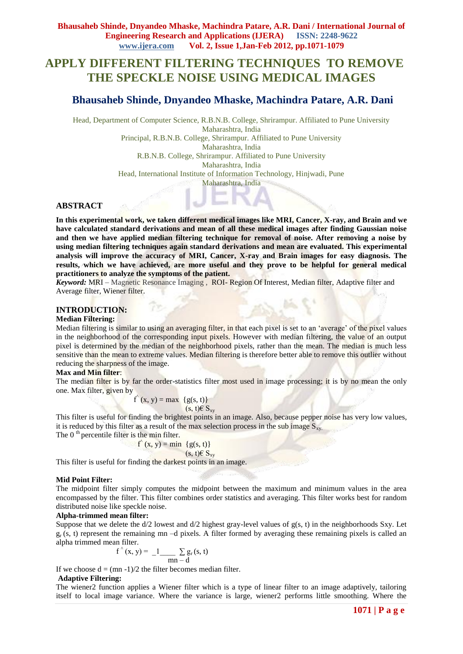# **APPLY DIFFERENT FILTERING TECHNIQUES TO REMOVE THE SPECKLE NOISE USING MEDICAL IMAGES**

# **Bhausaheb Shinde, Dnyandeo Mhaske, Machindra Patare, A.R. Dani**

Head, Department of Computer Science, R.B.N.B. College, Shrirampur. Affiliated to Pune University Maharashtra, India Principal, R.B.N.B. College, Shrirampur. Affiliated to Pune University

Maharashtra, India

R.B.N.B. College, Shrirampur. Affiliated to Pune University

Maharashtra, India

Head, International Institute of Information Technology, Hinjwadi, Pune

Maharashtra, India

# **ABSTRACT**

**In this experimental work, we taken different medical images like MRI, Cancer, X-ray, and Brain and we have calculated standard derivations and mean of all these medical images after finding Gaussian noise and then we have applied median filtering technique for removal of noise. After removing a noise by using median filtering techniques again standard derivations and mean are evaluated. This experimental analysis will improve the accuracy of MRI, Cancer, X-ray and Brain images for easy diagnosis. The results, which we have achieved, are more useful and they prove to be helpful for general medical practitioners to analyze the symptoms of the patient.**

*Keyword:* MRI – Magnetic Resonance Imaging ,ROI- Region Of Interest, Median filter, Adaptive filter and Average filter, Wiener filter.

### **INTRODUCTION:**

# **Median Filtering:**

Median filtering is similar to using an averaging filter, in that each pixel is set to an 'average' of the pixel values in the neighborhood of the corresponding input pixels. However with median filtering, the value of an output pixel is determined by the median of the neighborhood pixels, rather than the mean. The median is much less sensitive than the mean to extreme values. Median filtering is therefore better able to remove this outlier without reducing the sharpness of the image.

### **Max and Min filter**:

The median filter is by far the order-statistics filter most used in image processing; it is by no mean the only one. Max filter, given by

for the contract of the state of the state of the state of the state of the state of the state of the state of  $(x, y) = \max \{g(s, t)\}$  $(s, t) \in S_{xy}$ 

This filter is useful for finding the brightest points in an image. Also, because pepper noise has very low values, it is reduced by this filter as a result of the max selection process in the sub image  $S_{\rm xv}$ .

The  $0<sup>th</sup>$  percentile filter is the min filter. for the contract of the contract of the contract of the contract of the contract of the contract of the contract of the contract of the contract of the contract of the contract of the contract of the contract of the contra  $(x, y) = min \{g(s, t)\}$  $(s, t) \in S_{xy}$ 

This filter is useful for finding the darkest points in an image.

### **Mid Point Filter:**

The midpoint filter simply computes the midpoint between the maximum and minimum values in the area encompassed by the filter. This filter combines order statistics and averaging. This filter works best for random distributed noise like speckle noise.

### **Alpha-trimmed mean filter:**

Suppose that we delete the  $d/2$  lowest and  $d/2$  highest gray-level values of  $g(s, t)$  in the neighborhoods Sxy. Let  $g_r$  (s, t) represent the remaining mn –d pixels. A filter formed by averaging these remaining pixels is called an alpha trimmed mean filter.

$$
f'(x, y) = \frac{1}{\text{mn} - d} \sum g_r(s, t)
$$

If we choose  $d = (mn -1)/2$  the filter becomes median filter.

### **Adaptive Filtering:**

The wiener2 function applies a Wiener filter which is a type of linear filter to an image adaptively, tailoring itself to local image variance. Where the variance is large, wiener2 performs little smoothing. Where the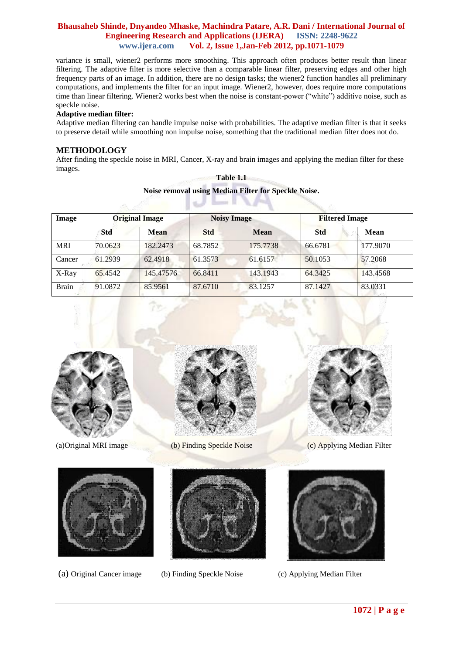variance is small, wiener2 performs more smoothing. This approach often produces better result than linear filtering. The adaptive filter is more selective than a comparable linear filter, preserving edges and other high frequency parts of an image. In addition, there are no design tasks; the wiener2 function handles all preliminary computations, and implements the filter for an input image. Wiener2, however, does require more computations time than linear filtering. Wiener2 works best when the noise is constant-power ("white") additive noise, such as speckle noise.

### **Adaptive median filter:**

Adaptive median filtering can handle impulse noise with probabilities. The adaptive median filter is that it seeks to preserve detail while smoothing non impulse noise, something that the traditional median filter does not do.

### **METHODOLOGY**

After finding the speckle noise in MRI, Cancer, X-ray and brain images and applying the median filter for these images.

| Image        | <b>Original Image</b> |             | <b>Noisy Image</b> |             | <b>Filtered Image</b> |             |  |
|--------------|-----------------------|-------------|--------------------|-------------|-----------------------|-------------|--|
|              | <b>Std</b>            | <b>Mean</b> | <b>Std</b>         | <b>Mean</b> | <b>Std</b>            | <b>Mean</b> |  |
| <b>MRI</b>   | 70.0623               | 182.2473    | 68.7852            | 175,7738    | 66.6781               | 177.9070    |  |
| Cancer       | 61.2939               | 62.4918     | 61.3573            | 61.6157     | 50.1053               | 57.2068     |  |
| X-Ray        | 65.4542               | 145.47576   | 66.8411            | 143.1943    | 64.3425               | 143.4568    |  |
| <b>Brain</b> | 91.0872               | 85.9561     | 87.6710            | 83.1257     | 87.1427               | 83.0331     |  |

# **Table 1.1 Noise removal using Median Filter for Speckle Noise.**







(a)Original MRI image (b) Finding Speckle Noise (c) Applying Median Filter







(a) Original Cancer image (b) Finding Speckle Noise (c) Applying Median Filter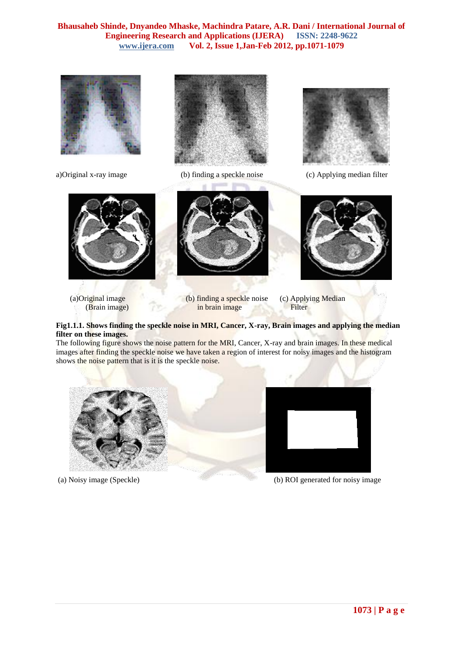







a)Original x-ray image (b) finding a speckle noise (c) Applying median filter







- (a)Original image (b) finding a speckle noise (c) Applying Median (Brain image) in brain image Filter
	-

### **Fig1.1.1. Shows finding the speckle noise in MRI, Cancer, X-ray, Brain images and applying the median filter on these images.**

The following figure shows the noise pattern for the MRI, Cancer, X-ray and brain images. In these medical images after finding the speckle noise we have taken a region of interest for noisy images and the histogram shows the noise pattern that is it is the speckle noise.





(a) Noisy image (Speckle) (b) ROI generated for noisy image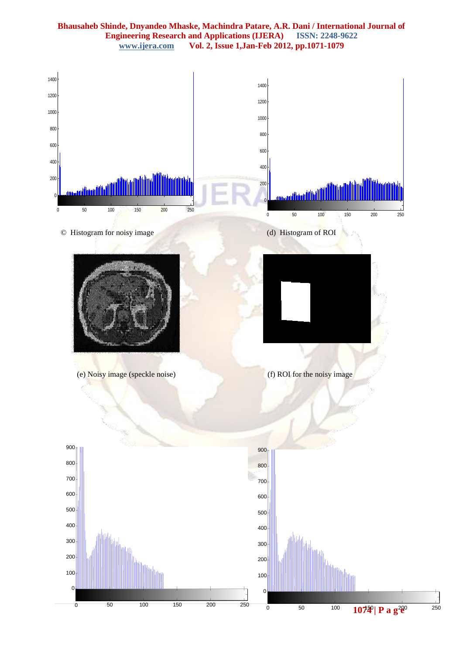# **Bhausaheb Shinde, Dnyandeo Mhaske, Machindra Patare, A.R. Dani / International Journal of Engineering Research and Applications (IJERA)** ISSN: 2248-9622 www.ijera.com Vol. 2, Issue 1, Jan-Feb 2012, pp.1071-1079 **www.ijera.com Vol. 2, Issue 1,Jan-Feb 2012, pp.1071-1079**



ī.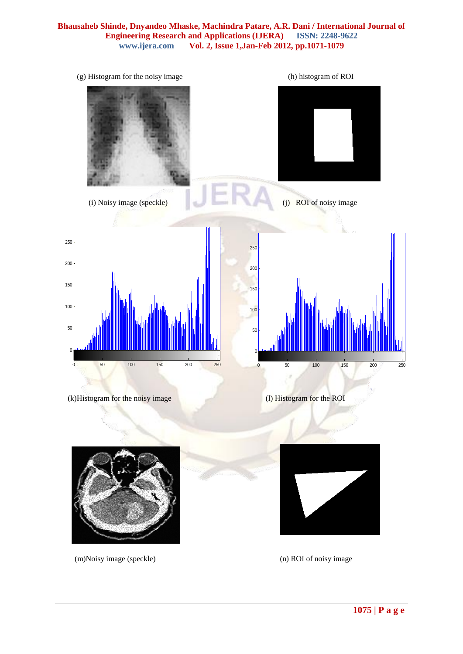| (g) Histogram for the noisy image                                                                | (h) histogram of ROI                                                         |
|--------------------------------------------------------------------------------------------------|------------------------------------------------------------------------------|
| (i) Noisy image (speckle)                                                                        | ROI of noisy image<br>(j)                                                    |
|                                                                                                  |                                                                              |
| 250                                                                                              | 250                                                                          |
| $200\,$                                                                                          | 200                                                                          |
| 150<br>$100\,$<br>50 <sub>50</sub><br>$\pmb{0}$<br>100<br>150<br>250<br>50<br>200<br>$\mathbf 0$ | 150<br>100<br>50<br>$\pmb{0}$<br>50<br>100<br>250<br>$\pmb{0}$<br>150<br>200 |
| (k)Histogram for the noisy image                                                                 | (l) Histogram for the ROI                                                    |
|                                                                                                  |                                                                              |

(m)Noisy image (speckle) (n) ROI of noisy image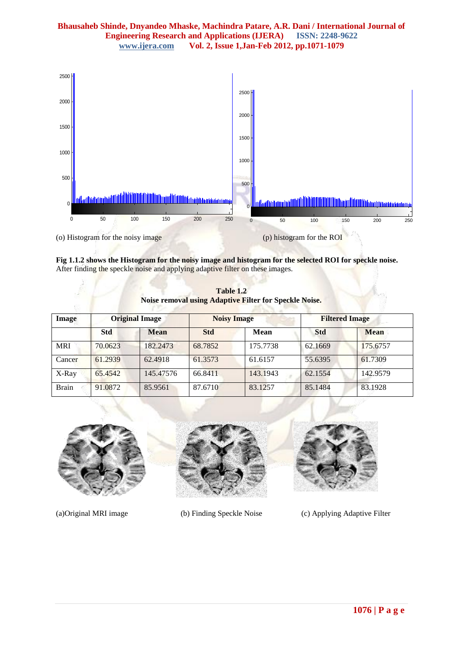# **Bhausaheb Shinde, Dnyandeo Mhaske, Machindra Patare, A.R. Dani / International Journal of Engineering Research and Applications (IJERA)** ISSN: 2248-9622 www.ijera.com Vol. 2, Issue 1, Jan-Feb 2012, pp. 1071-1079 **www.ijera.com Vol. 2, Issue 1,Jan-Feb 2012, pp.1071-1079**



**Fig 1.1.2 shows the Histogram for the noisy image and histogram for the selected ROI for speckle noise.** After finding the speckle noise and applying adaptive filter on these images.

| Image        | <b>Original Image</b> |             | <b>Noisy Image</b> |             | <b>Filtered Image</b> |             |
|--------------|-----------------------|-------------|--------------------|-------------|-----------------------|-------------|
|              | <b>Std</b>            | <b>Mean</b> | <b>Std</b>         | <b>Mean</b> | <b>Std</b>            | <b>Mean</b> |
| <b>MRI</b>   | 70.0623               | 182,2473    | 68.7852            | 175,7738    | 62.1669               | 175.6757    |
| Cancer       | 61.2939               | 62.4918     | 61.3573            | 61.6157     | 55.6395               | 61.7309     |
| X-Ray        | 65.4542               | 145,47576   | 66.8411            | 143.1943    | 62.1554               | 142.9579    |
| <b>Brain</b> | 91.0872               | 85.9561     | 87.6710            | 83.1257     | 85.1484               | 83.1928     |

**Table 1.2 Noise Roof Filter for Speckle Noise.** 



(a)Original MRI image (b) Finding Speckle Noise (c) Applying Adaptive Filter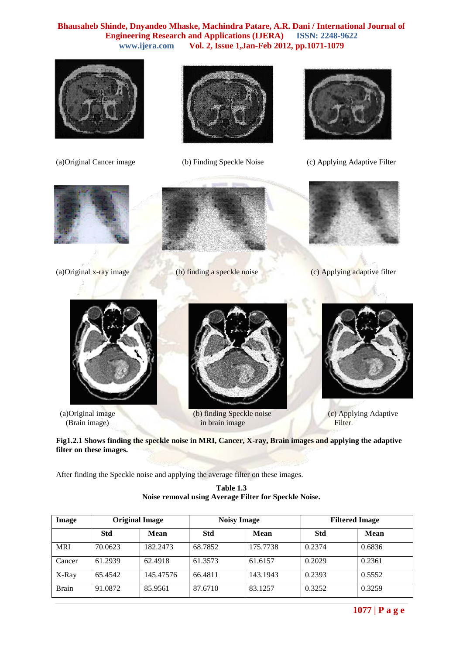





(a)Original Cancer image (b) Finding Speckle Noise (c) Applying Adaptive Filter







(a)Original x-ray image (b) finding a speckle noise (c) Applying adaptive filter





 (a)Original image (b) finding Speckle noise (c) Applying Adaptive (Brain image) in brain image Filter



**Fig1.2.1 Shows finding the speckle noise in MRI, Cancer, X-ray, Brain images and applying the adaptive filter on these images.**

After finding the Speckle noise and applying the average filter on these images.

| Table 1.3                                             |
|-------------------------------------------------------|
| Noise removal using Average Filter for Speckle Noise. |

| Image        | <b>Original Image</b> |           | <b>Noisy Image</b> |          | <b>Filtered Image</b> |        |
|--------------|-----------------------|-----------|--------------------|----------|-----------------------|--------|
|              | <b>Std</b>            | Mean      | <b>Std</b>         | Mean     | <b>Std</b>            | Mean   |
| <b>MRI</b>   | 70.0623               | 182.2473  | 68.7852            | 175.7738 | 0.2374                | 0.6836 |
| Cancer       | 61.2939               | 62.4918   | 61.3573            | 61.6157  | 0.2029                | 0.2361 |
| X-Ray        | 65.4542               | 145.47576 | 66.4811            | 143.1943 | 0.2393                | 0.5552 |
| <b>Brain</b> | 91.0872               | 85.9561   | 87.6710            | 83.1257  | 0.3252                | 0.3259 |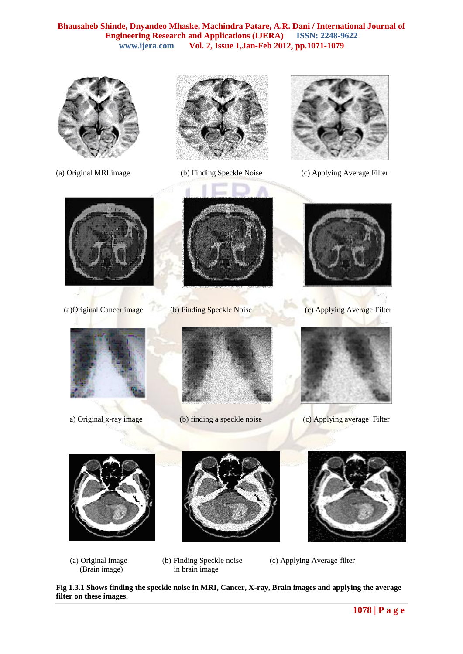





(a) Original MRI image (b) Finding Speckle Noise (c) Applying Average Filter











(a)Original Cancer image (b) Finding Speckle Noise (c) Applying Average Filter



a) Original x-ray image (b) finding a speckle noise (c) Applying average Filter







- (Brain image) in brain image
- (a) Original image (b) Finding Speckle noise (c) Applying Average filter

**Fig 1.3.1 Shows finding the speckle noise in MRI, Cancer, X-ray, Brain images and applying the average filter on these images.**